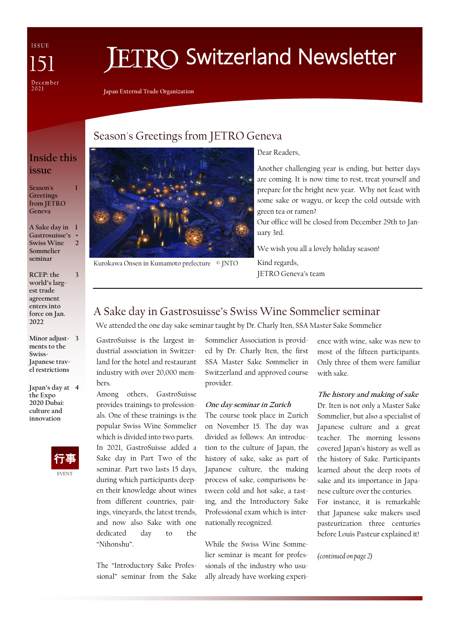ISSUE December<br>2021

# **IETRO Switzerland Newsletter**

**Japan External Trade Organization**

# Season's Greetings from JETRO Geneva

# **Inside this issue**

**1**

**Season's Greetings from JETRO Geneva**

**A Sake day in Gastrosuisse's Swiss Wine Sommelier seminar 1 + 2**

**RCEP: the world's largest trade agreement enters into force on Jan. 2022 3**

**Minor adjust-3 ments to the Swiss-Japanese travel restrictions**

**Japan's day at 4 the Expo 2020 Dubai: culture and innovation** 





Kurokawa Onsen in Kumamoto prefecture © JNTO

Dear Readers,

Another challenging year is ending, but better days are coming. It is now time to rest, treat yourself and prepare for the bright new year. Why not feast with some sake or wagyu, or keep the cold outside with green tea or ramen?

Our office will be closed from December 29th to January 3rd.

We wish you all a lovely holiday season! Kind regards,

JETRO Geneva's team

# A Sake day in Gastrosuisse's Swiss Wine Sommelier seminar

We attended the one day sake seminar taught by Dr. Charly Iten, SSA Master Sake Sommelier

GastroSuisse is the largest industrial association in Switzerland for the hotel and restaurant industry with over 20,000 members.

Among others, GastroSuisse provides trainings to professionals. One of these trainings is the popular Swiss Wine Sommelier which is divided into two parts. In 2021, GastroSuisse added a Sake day in Part Two of the seminar. Part two lasts 15 days, during which participants deepen their knowledge about wines from different countries, pairings, vineyards, the latest trends, and now also Sake with one dedicated day to the "Nihonshu".

The "Introductory Sake Professional" seminar from the Sake Sommelier Association is provided by Dr. Charly Iten, the first SSA Master Sake Sommelier in Switzerland and approved course provider.

## **One day seminar in Zurich**

The course took place in Zurich on November 15. The day was divided as follows: An introduction to the culture of Japan, the history of sake, sake as part of Japanese culture, the making process of sake, comparisons between cold and hot sake, a tasting, and the Introductory Sake Professional exam which is internationally recognized.

While the Swiss Wine Sommelier seminar is meant for professionals of the industry who usually already have working experience with wine, sake was new to most of the fifteen participants. Only three of them were familiar with sake.

## **The history and making of sake**

Dr. Iten is not only a Master Sake Sommelier, but also a specialist of Japanese culture and a great teacher. The morning lessons covered Japan's history as well as the history of Sake. Participants learned about the deep roots of sake and its importance in Japanese culture over the centuries. For instance, it is remarkable that Japanese sake makers used pasteurization three centuries before Louis Pasteur explained it!

*(continued on page 2)*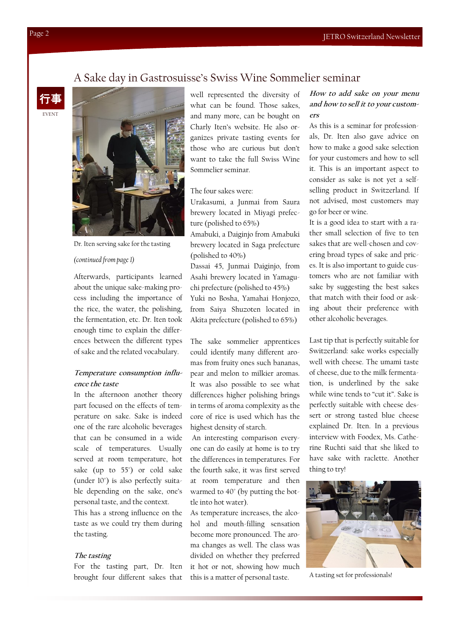## A Sake day in Gastrosuisse's Swiss Wine Sommelier seminar





Dr. Iten serving sake for the tasting

### *(continued from page 1)*

Afterwards, participants learned about the unique sake-making process including the importance of the rice, the water, the polishing, the fermentation, etc. Dr. Iten took enough time to explain the differences between the different types of sake and the related vocabulary.

## **Temperature consumption influence the taste**

In the afternoon another theory part focused on the effects of temperature on sake. Sake is indeed one of the rare alcoholic beverages that can be consumed in a wide scale of temperatures. Usually served at room temperature, hot sake (up to 55°) or cold sake (under 10°) is also perfectly suitable depending on the sake, one's personal taste, and the context.

This has a strong influence on the taste as we could try them during the tasting.

#### **The tasting**

For the tasting part, Dr. Iten brought four different sakes that well represented the diversity of what can be found. Those sakes, and many more, can be bought on Charly Iten's website. He also organizes private tasting events for those who are curious but don't want to take the full Swiss Wine Sommelier seminar.

## The four sakes were:

Urakasumi, a Junmai from Saura brewery located in Miyagi prefecture (polished to 65%)

Amabuki, a Daiginjo from Amabuki brewery located in Saga prefecture (polished to 40%)

Dassai 45, Junmai Daiginjo, from Asahi brewery located in Yamaguchi prefecture (polished to 45%) Yuki no Bosha, Yamahai Honjozo, from Saiya Shuzoten located in Akita prefecture (polished to 65%)

The sake sommelier apprentices could identify many different aromas from fruity ones such bananas, pear and melon to milkier aromas. It was also possible to see what differences higher polishing brings in terms of aroma complexity as the core of rice is used which has the highest density of starch.

An interesting comparison everyone can do easily at home is to try the differences in temperatures. For the fourth sake, it was first served at room temperature and then warmed to 40° (by putting the bottle into hot water).

As temperature increases, the alcohol and mouth-filling sensation become more pronounced. The aroma changes as well. The class was divided on whether they preferred it hot or not, showing how much this is a matter of personal taste.

## **How to add sake on your menu and how to sell it to your customers**

As this is a seminar for professionals, Dr. Iten also gave advice on how to make a good sake selection for your customers and how to sell it. This is an important aspect to consider as sake is not yet a selfselling product in Switzerland. If not advised, most customers may go for beer or wine.

It is a good idea to start with a rather small selection of five to ten sakes that are well-chosen and covering broad types of sake and prices. It is also important to guide customers who are not familiar with sake by suggesting the best sakes that match with their food or asking about their preference with other alcoholic beverages.

Last tip that is perfectly suitable for Switzerland: sake works especially well with cheese. The umami taste of cheese, due to the milk fermentation, is underlined by the sake while wine tends to "cut it". Sake is perfectly suitable with cheese dessert or strong tasted blue cheese explained Dr. Iten. In a previous interview with Foodex, Ms. Catherine Ruchti said that she liked to have sake with raclette. Another thing to try!



A tasting set for professionals!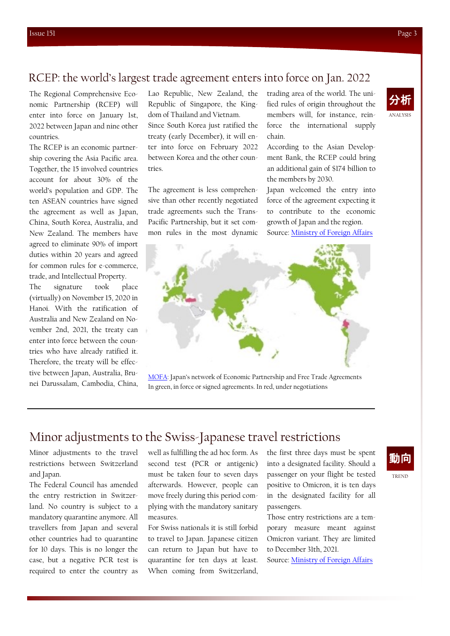## RCEP: the world's largest trade agreement enters into force on Jan. 2022

The Regional Comprehensive Economic Partnership (RCEP) will enter into force on January 1st, 2022 between Japan and nine other countries.

The RCEP is an economic partnership covering the Asia Pacific area. Together, the 15 involved countries account for about 30% of the world's population and GDP. The ten ASEAN countries have signed the agreement as well as Japan, China, South Korea, Australia, and New Zealand. The members have agreed to eliminate 90% of import duties within 20 years and agreed for common rules for e-commerce, trade, and Intellectual Property.

The signature took place (virtually) on November 15, 2020 in Hanoi. With the ratification of Australia and New Zealand on November 2nd, 2021, the treaty can enter into force between the countries who have already ratified it. Therefore, the treaty will be effective between Japan, Australia, Brunei Darussalam, Cambodia, China,

Lao Republic, New Zealand, the Republic of Singapore, the Kingdom of Thailand and Vietnam. Since South Korea just ratified the treaty (early December), it will enter into force on February 2022 between Korea and the other countries.

The agreement is less comprehensive than other recently negotiated trade agreements such the Trans-Pacific Partnership, but it set common rules in the most dynamic trading area of the world. The unified rules of origin throughout the members will, for instance, reinforce the international supply chain.

According to the Asian Development Bank, the RCEP could bring an additional gain of \$174 billion to the members by 2030.

Japan welcomed the entry into force of the agreement expecting it to contribute to the economic growth of Japan and the region. Source: [Ministry of Foreign Affairs](https://www.mofa.go.jp/press/release/press4e_003051.html)



[MOFA](https://www.mofa.go.jp/policy/economy/fta/index.html): Japan's network of Economic Partnership and Free Trade Agreements In green, in force or signed agreements. In red, under negotiations

# Minor adjustments to the Swiss-Japanese travel restrictions

Minor adjustments to the travel restrictions between Switzerland and Japan.

The Federal Council has amended the entry restriction in Switzerland. No country is subject to a mandatory quarantine anymore. All travellers from Japan and several other countries had to quarantine for 10 days. This is no longer the case, but a negative PCR test is required to enter the country as well as fulfilling the ad hoc form. As second test (PCR or antigenic) must be taken four to seven days afterwards. However, people can move freely during this period complying with the mandatory sanitary measures.

For Swiss nationals it is still forbid to travel to Japan. Japanese citizen can return to Japan but have to quarantine for ten days at least. When coming from Switzerland,

the first three days must be spent into a designated facility. Should a passenger on your flight be tested positive to Omicron, it is ten days in the designated facility for all passengers.

Those entry restrictions are a temporary measure meant against Omicron variant. They are limited to December 31th, 2021.

Source: [Ministry of Foreign Affairs](https://www.mofa.go.jp/ca/fna/page4e_001053.html)



ANALYSIS 分析